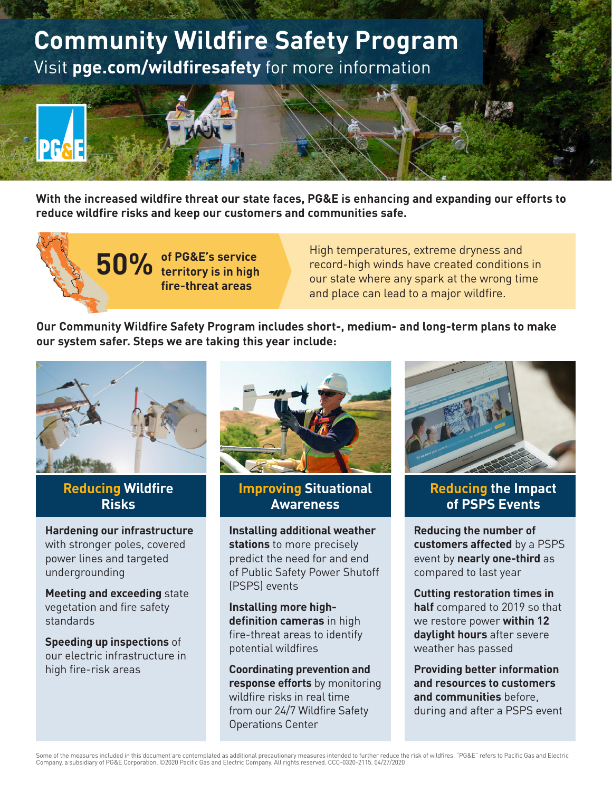

**With the increased wildfire threat our state faces, PG&E is enhancing and expanding our efforts to reduce wildfire risks and keep our customers and communities safe.**

> **50% of PG&E's service territory is in high fire-threat areas**

High temperatures, extreme dryness and record-high winds have created conditions in our state where any spark at the wrong time and place can lead to a major wildfire.

**Our Community Wildfire Safety Program includes short-, medium- and long-term plans to make our system safer. Steps we are taking this year include:** 



### **Reducing Wildfire Risks**

**Hardening our infrastructure** with stronger poles, covered power lines and targeted undergrounding

**Meeting and exceeding** state vegetation and fire safety standards

**Speeding up inspections** of our electric infrastructure in high fire-risk areas



**Improving Situational Awareness**

**Installing additional weather stations** to more precisely predict the need for and end of Public Safety Power Shutoff (PSPS) events

**Installing more highdefinition cameras** in high fire-threat areas to identify potential wildfires

**Coordinating prevention and response efforts** by monitoring wildfire risks in real time from our 24/7 Wildfire Safety Operations Center



### **Reducing the Impact of PSPS Events**

**Reducing the number of customers affected** by a PSPS event by **nearly one-third** as compared to last year

**Cutting restoration times in half** compared to 2019 so that we restore power **within 12 daylight hours** after severe weather has passed

**Providing better information and resources to customers and communities** before, during and after a PSPS event